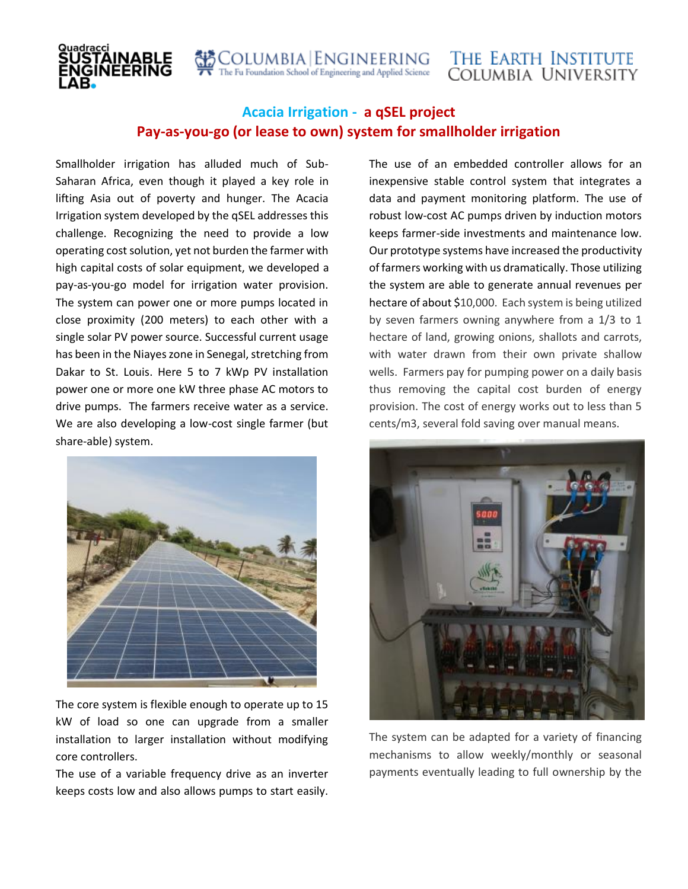COLUMBIA ENGINEERING<br>The Fu Foundation School of Engineering and Applied Science

## **Acacia Irrigation - a qSEL project Pay-as-you-go (or lease to own) system for smallholder irrigation**

Smallholder irrigation has alluded much of Sub-Saharan Africa, even though it played a key role in lifting Asia out of poverty and hunger. The Acacia Irrigation system developed by the qSEL addresses this challenge. Recognizing the need to provide a low operating cost solution, yet not burden the farmer with high capital costs of solar equipment, we developed a pay-as-you-go model for irrigation water provision. The system can power one or more pumps located in close proximity (200 meters) to each other with a single solar PV power source. Successful current usage has been in the Niayes zone in Senegal, stretching from Dakar to St. Louis. Here 5 to 7 kWp PV installation power one or more one kW three phase AC motors to drive pumps. The farmers receive water as a service. We are also developing a low-cost single farmer (but share-able) system.



The core system is flexible enough to operate up to 15 kW of load so one can upgrade from a smaller installation to larger installation without modifying core controllers.

The use of a variable frequency drive as an inverter keeps costs low and also allows pumps to start easily. The use of an embedded controller allows for an inexpensive stable control system that integrates a data and payment monitoring platform. The use of robust low-cost AC pumps driven by induction motors keeps farmer-side investments and maintenance low. Our prototype systems have increased the productivity of farmers working with us dramatically. Those utilizing the system are able to generate annual revenues per hectare of about \$10,000. Each system is being utilized by seven farmers owning anywhere from a 1/3 to 1 hectare of land, growing onions, shallots and carrots, with water drawn from their own private shallow wells. Farmers pay for pumping power on a daily basis thus removing the capital cost burden of energy provision. The cost of energy works out to less than 5 cents/m3, several fold saving over manual means.



The system can be adapted for a variety of financing mechanisms to allow weekly/monthly or seasonal payments eventually leading to full ownership by the